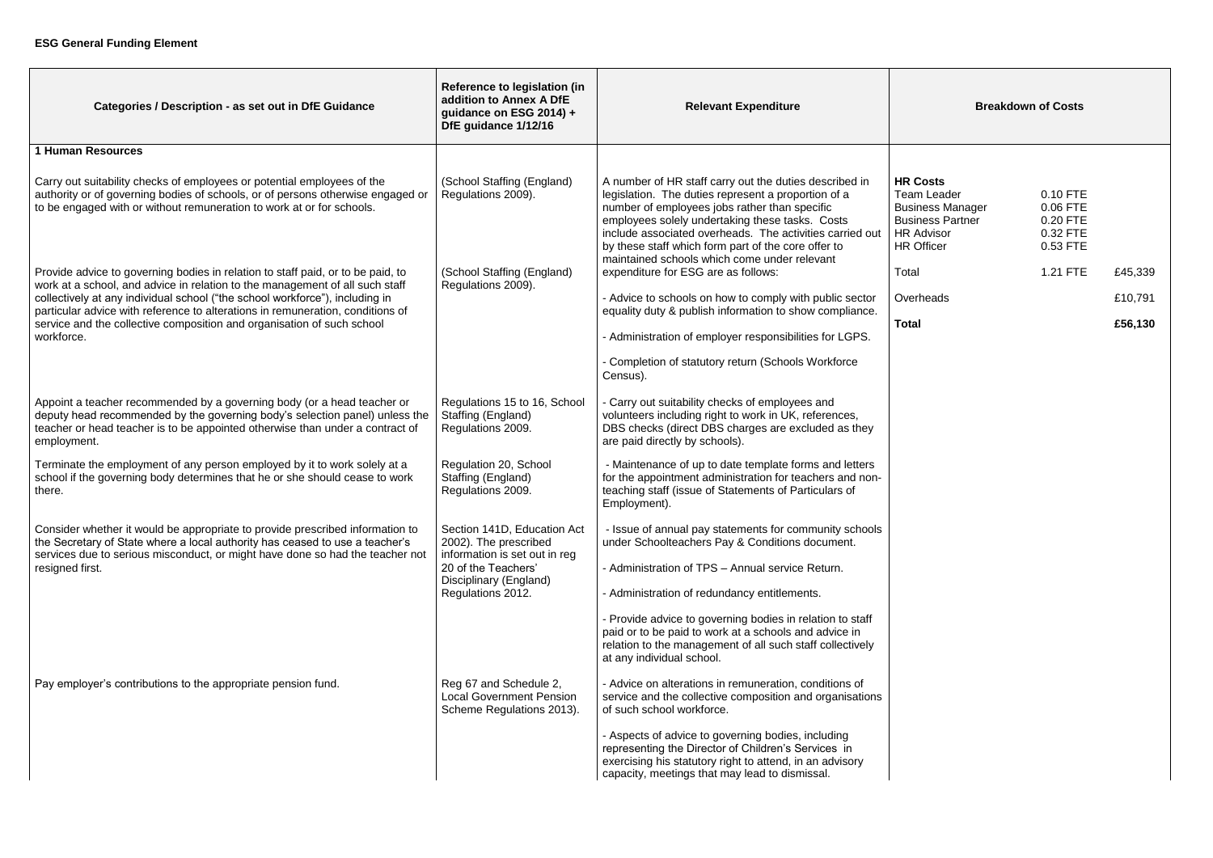| Categories / Description - as set out in DfE Guidance                                                                                                                                                                                                  | Reference to legislation (in<br>addition to Annex A DfE<br>guidance on ESG 2014) +<br>DfE guidance 1/12/16 | <b>Relevant Expenditure</b>                                                                                                                                                                                                                                                                                                                                                          | <b>Breakdown of Costs</b>                                                                                                             |                                                          |         |
|--------------------------------------------------------------------------------------------------------------------------------------------------------------------------------------------------------------------------------------------------------|------------------------------------------------------------------------------------------------------------|--------------------------------------------------------------------------------------------------------------------------------------------------------------------------------------------------------------------------------------------------------------------------------------------------------------------------------------------------------------------------------------|---------------------------------------------------------------------------------------------------------------------------------------|----------------------------------------------------------|---------|
| <b>1 Human Resources</b>                                                                                                                                                                                                                               |                                                                                                            |                                                                                                                                                                                                                                                                                                                                                                                      |                                                                                                                                       |                                                          |         |
| Carry out suitability checks of employees or potential employees of the<br>authority or of governing bodies of schools, or of persons otherwise engaged or<br>to be engaged with or without remuneration to work at or for schools.                    | (School Staffing (England)<br>Regulations 2009).                                                           | A number of HR staff carry out the duties described in<br>legislation. The duties represent a proportion of a<br>number of employees jobs rather than specific<br>employees solely undertaking these tasks. Costs<br>include associated overheads. The activities carried out<br>by these staff which form part of the core offer to<br>maintained schools which come under relevant | <b>HR Costs</b><br><b>Team Leader</b><br><b>Business Manager</b><br><b>Business Partner</b><br><b>HR Advisor</b><br><b>HR Officer</b> | 0.10 FTE<br>0.06 FTE<br>0.20 FTE<br>0.32 FTE<br>0.53 FTE |         |
| Provide advice to governing bodies in relation to staff paid, or to be paid, to                                                                                                                                                                        | (School Staffing (England)                                                                                 | expenditure for ESG are as follows:                                                                                                                                                                                                                                                                                                                                                  | Total                                                                                                                                 | 1.21 FTE                                                 | £45,339 |
| work at a school, and advice in relation to the management of all such staff<br>collectively at any individual school ("the school workforce"), including in                                                                                           | Regulations 2009).                                                                                         | - Advice to schools on how to comply with public sector                                                                                                                                                                                                                                                                                                                              | Overheads                                                                                                                             |                                                          | £10,791 |
| particular advice with reference to alterations in remuneration, conditions of<br>service and the collective composition and organisation of such school                                                                                               |                                                                                                            | equality duty & publish information to show compliance.                                                                                                                                                                                                                                                                                                                              | <b>Total</b>                                                                                                                          |                                                          | £56,130 |
| workforce.                                                                                                                                                                                                                                             |                                                                                                            | - Administration of employer responsibilities for LGPS.                                                                                                                                                                                                                                                                                                                              |                                                                                                                                       |                                                          |         |
|                                                                                                                                                                                                                                                        |                                                                                                            | - Completion of statutory return (Schools Workforce<br>Census).                                                                                                                                                                                                                                                                                                                      |                                                                                                                                       |                                                          |         |
| Appoint a teacher recommended by a governing body (or a head teacher or<br>deputy head recommended by the governing body's selection panel) unless the<br>teacher or head teacher is to be appointed otherwise than under a contract of<br>employment. | Regulations 15 to 16, School<br>Staffing (England)<br>Regulations 2009.                                    | - Carry out suitability checks of employees and<br>volunteers including right to work in UK, references,<br>DBS checks (direct DBS charges are excluded as they<br>are paid directly by schools).                                                                                                                                                                                    |                                                                                                                                       |                                                          |         |
| Terminate the employment of any person employed by it to work solely at a<br>school if the governing body determines that he or she should cease to work<br>there.                                                                                     | Regulation 20, School<br>Staffing (England)<br>Regulations 2009.                                           | - Maintenance of up to date template forms and letters<br>for the appointment administration for teachers and non-<br>teaching staff (issue of Statements of Particulars of<br>Employment).                                                                                                                                                                                          |                                                                                                                                       |                                                          |         |
| Consider whether it would be appropriate to provide prescribed information to<br>the Secretary of State where a local authority has ceased to use a teacher's                                                                                          | Section 141D, Education Act<br>2002). The prescribed                                                       | - Issue of annual pay statements for community schools<br>under Schoolteachers Pay & Conditions document.                                                                                                                                                                                                                                                                            |                                                                                                                                       |                                                          |         |
| services due to serious misconduct, or might have done so had the teacher not<br>resigned first.                                                                                                                                                       | information is set out in reg<br>20 of the Teachers'<br>Disciplinary (England)<br>Regulations 2012.        | - Administration of TPS - Annual service Return.                                                                                                                                                                                                                                                                                                                                     |                                                                                                                                       |                                                          |         |
|                                                                                                                                                                                                                                                        |                                                                                                            | - Administration of redundancy entitlements.                                                                                                                                                                                                                                                                                                                                         |                                                                                                                                       |                                                          |         |
|                                                                                                                                                                                                                                                        |                                                                                                            | - Provide advice to governing bodies in relation to staff<br>paid or to be paid to work at a schools and advice in<br>relation to the management of all such staff collectively<br>at any individual school.                                                                                                                                                                         |                                                                                                                                       |                                                          |         |
| Pay employer's contributions to the appropriate pension fund.                                                                                                                                                                                          | Reg 67 and Schedule 2,<br><b>Local Government Pension</b><br>Scheme Regulations 2013).                     | - Advice on alterations in remuneration, conditions of<br>service and the collective composition and organisations<br>of such school workforce.                                                                                                                                                                                                                                      |                                                                                                                                       |                                                          |         |
|                                                                                                                                                                                                                                                        |                                                                                                            | - Aspects of advice to governing bodies, including<br>representing the Director of Children's Services in<br>exercising his statutory right to attend, in an advisory<br>capacity, meetings that may lead to dismissal.                                                                                                                                                              |                                                                                                                                       |                                                          |         |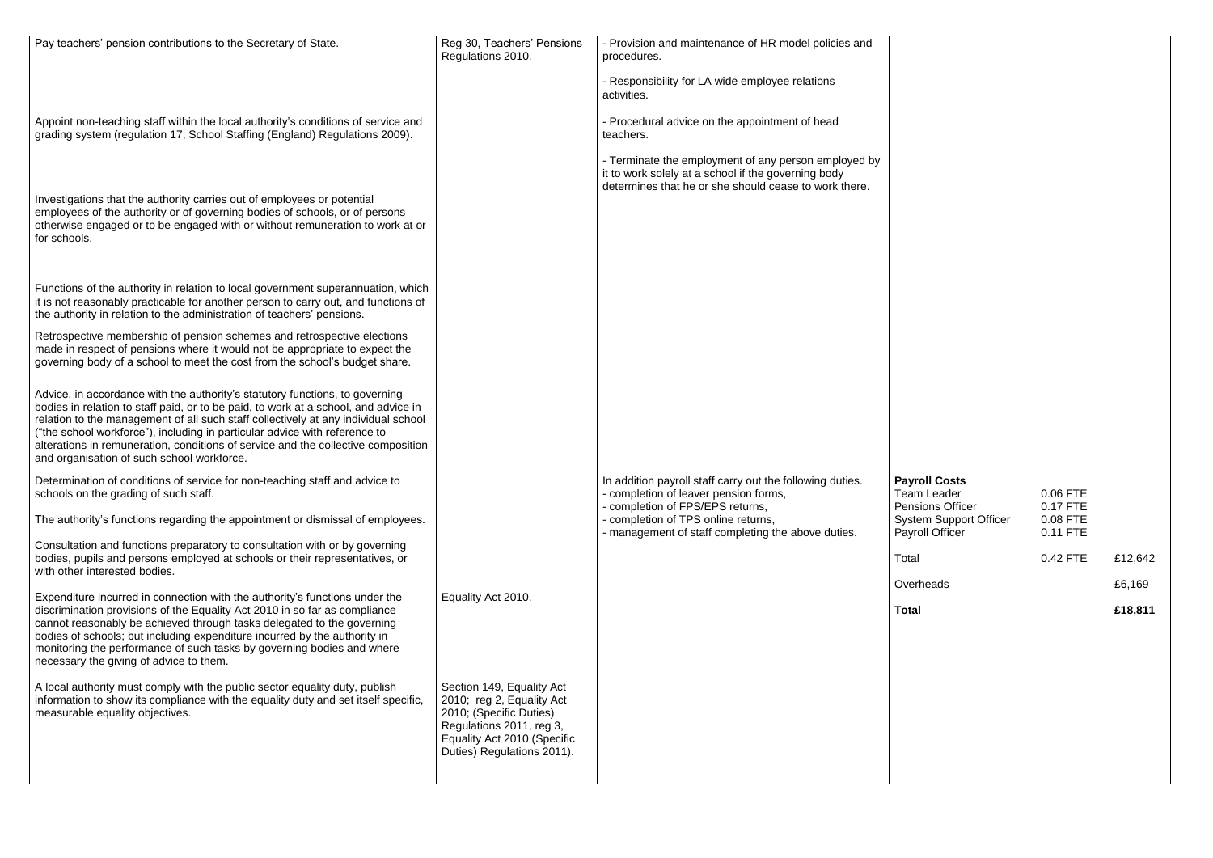| Pay teachers' pension contributions to the Secretary of State.                                                                                                                                                                                                                                                                                                                                                                                                             | Reg 30, Teachers' Pensions<br>Regulations 2010.                                                                                                                            | - Provision and maintenance of HR model policies and<br>procedures.<br>- Responsibility for LA wide employee relations                                               |                                                        |
|----------------------------------------------------------------------------------------------------------------------------------------------------------------------------------------------------------------------------------------------------------------------------------------------------------------------------------------------------------------------------------------------------------------------------------------------------------------------------|----------------------------------------------------------------------------------------------------------------------------------------------------------------------------|----------------------------------------------------------------------------------------------------------------------------------------------------------------------|--------------------------------------------------------|
|                                                                                                                                                                                                                                                                                                                                                                                                                                                                            |                                                                                                                                                                            | activities.                                                                                                                                                          |                                                        |
| Appoint non-teaching staff within the local authority's conditions of service and<br>grading system (regulation 17, School Staffing (England) Regulations 2009).                                                                                                                                                                                                                                                                                                           |                                                                                                                                                                            | - Procedural advice on the appointment of head<br>teachers.                                                                                                          |                                                        |
|                                                                                                                                                                                                                                                                                                                                                                                                                                                                            |                                                                                                                                                                            | - Terminate the employment of any person employed by<br>it to work solely at a school if the governing body<br>determines that he or she should cease to work there. |                                                        |
| Investigations that the authority carries out of employees or potential<br>employees of the authority or of governing bodies of schools, or of persons<br>otherwise engaged or to be engaged with or without remuneration to work at or<br>for schools.                                                                                                                                                                                                                    |                                                                                                                                                                            |                                                                                                                                                                      |                                                        |
| Functions of the authority in relation to local government superannuation, which<br>it is not reasonably practicable for another person to carry out, and functions of<br>the authority in relation to the administration of teachers' pensions.                                                                                                                                                                                                                           |                                                                                                                                                                            |                                                                                                                                                                      |                                                        |
| Retrospective membership of pension schemes and retrospective elections<br>made in respect of pensions where it would not be appropriate to expect the<br>governing body of a school to meet the cost from the school's budget share.                                                                                                                                                                                                                                      |                                                                                                                                                                            |                                                                                                                                                                      |                                                        |
| Advice, in accordance with the authority's statutory functions, to governing<br>bodies in relation to staff paid, or to be paid, to work at a school, and advice in<br>relation to the management of all such staff collectively at any individual school<br>("the school workforce"), including in particular advice with reference to<br>alterations in remuneration, conditions of service and the collective composition<br>and organisation of such school workforce. |                                                                                                                                                                            |                                                                                                                                                                      |                                                        |
| Determination of conditions of service for non-teaching staff and advice to<br>schools on the grading of such staff.                                                                                                                                                                                                                                                                                                                                                       |                                                                                                                                                                            | In addition payroll staff carry out the following duties.<br>- completion of leaver pension forms,<br>- completion of FPS/EPS returns,                               | <b>Payroll Costs</b><br>Team Leader<br>Pensions Office |
| The authority's functions regarding the appointment or dismissal of employees.                                                                                                                                                                                                                                                                                                                                                                                             |                                                                                                                                                                            | - completion of TPS online returns,<br>- management of staff completing the above duties.                                                                            | System Suppo<br>Payroll Officer                        |
| Consultation and functions preparatory to consultation with or by governing<br>bodies, pupils and persons employed at schools or their representatives, or<br>with other interested bodies.                                                                                                                                                                                                                                                                                |                                                                                                                                                                            |                                                                                                                                                                      | Total                                                  |
| Expenditure incurred in connection with the authority's functions under the<br>discrimination provisions of the Equality Act 2010 in so far as compliance<br>cannot reasonably be achieved through tasks delegated to the governing<br>bodies of schools; but including expenditure incurred by the authority in<br>monitoring the performance of such tasks by governing bodies and where<br>necessary the giving of advice to them.                                      | Equality Act 2010.                                                                                                                                                         |                                                                                                                                                                      | Overheads<br><b>Total</b>                              |
| A local authority must comply with the public sector equality duty, publish<br>information to show its compliance with the equality duty and set itself specific,<br>measurable equality objectives.                                                                                                                                                                                                                                                                       | Section 149, Equality Act<br>2010; reg 2, Equality Act<br>2010; (Specific Duties)<br>Regulations 2011, reg 3,<br>Equality Act 2010 (Specific<br>Duties) Regulations 2011). |                                                                                                                                                                      |                                                        |

| Total<br>0.42 FTE<br>£12,642<br>Overheads<br>£6,169                                                                                               |
|---------------------------------------------------------------------------------------------------------------------------------------------------|
|                                                                                                                                                   |
|                                                                                                                                                   |
| 0.06 FTE<br>Team Leader<br>0.17 FTE<br><b>Pensions Officer</b><br><b>System Support Officer</b><br>0.08 FTE<br><b>Payroll Officer</b><br>0.11 FTE |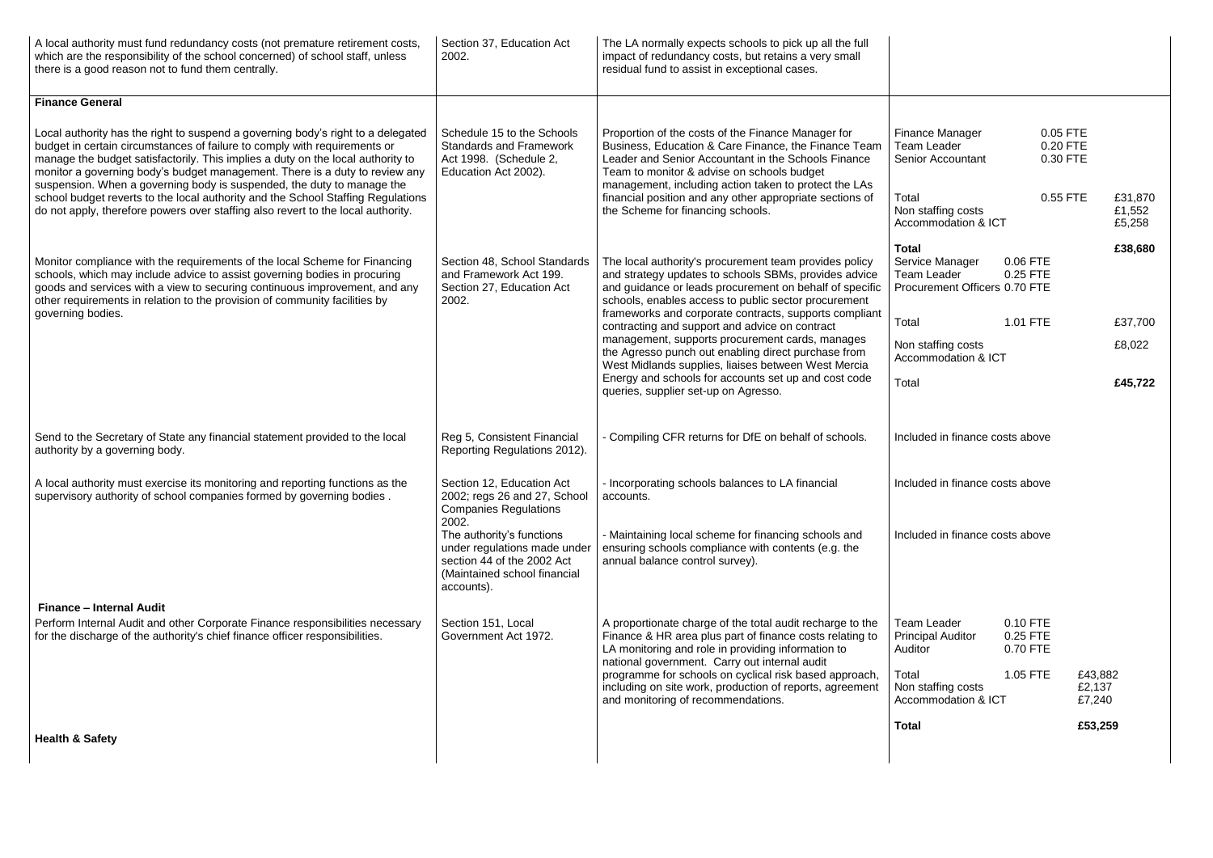| A local authority must fund redundancy costs (not premature retirement costs,<br>which are the responsibility of the school concerned) of school staff, unless<br>there is a good reason not to fund them centrally.                                                                                                                                                                                                                                                                                                        | Section 37, Education Act<br>2002.                                                                                                                                                                                                                                       | The LA normally expects schools to pick up all the full<br>impact of redundancy costs, but retains a very small<br>residual fund to assist in exceptional cases.                                                                   |                                                                                 |                                  |                             |
|-----------------------------------------------------------------------------------------------------------------------------------------------------------------------------------------------------------------------------------------------------------------------------------------------------------------------------------------------------------------------------------------------------------------------------------------------------------------------------------------------------------------------------|--------------------------------------------------------------------------------------------------------------------------------------------------------------------------------------------------------------------------------------------------------------------------|------------------------------------------------------------------------------------------------------------------------------------------------------------------------------------------------------------------------------------|---------------------------------------------------------------------------------|----------------------------------|-----------------------------|
| <b>Finance General</b>                                                                                                                                                                                                                                                                                                                                                                                                                                                                                                      |                                                                                                                                                                                                                                                                          |                                                                                                                                                                                                                                    |                                                                                 |                                  |                             |
| Local authority has the right to suspend a governing body's right to a delegated<br>Schedule 15 to the Schools<br>budget in certain circumstances of failure to comply with requirements or<br><b>Standards and Framework</b><br>manage the budget satisfactorily. This implies a duty on the local authority to<br>Act 1998. (Schedule 2,<br>monitor a governing body's budget management. There is a duty to review any<br>Education Act 2002).<br>suspension. When a governing body is suspended, the duty to manage the | Proportion of the costs of the Finance Manager for<br>Business, Education & Care Finance, the Finance Team<br>Leader and Senior Accountant in the Schools Finance<br>Team to monitor & advise on schools budget<br>management, including action taken to protect the LAs | <b>Finance Manager</b><br>Team Leader<br><b>Senior Accountant</b>                                                                                                                                                                  | 0.05 FTE<br>0.20 FTE<br>0.30 FTE                                                |                                  |                             |
| school budget reverts to the local authority and the School Staffing Regulations<br>do not apply, therefore powers over staffing also revert to the local authority.                                                                                                                                                                                                                                                                                                                                                        |                                                                                                                                                                                                                                                                          | financial position and any other appropriate sections of<br>the Scheme for financing schools.                                                                                                                                      | Total<br>Non staffing costs<br>Accommodation & ICT                              | 0.55 FTE                         | £31,870<br>£1,552<br>£5,258 |
| Monitor compliance with the requirements of the local Scheme for Financing<br>schools, which may include advice to assist governing bodies in procuring<br>goods and services with a view to securing continuous improvement, and any<br>other requirements in relation to the provision of community facilities by                                                                                                                                                                                                         | Section 48, School Standards<br>and Framework Act 199.<br>Section 27, Education Act<br>2002.                                                                                                                                                                             | The local authority's procurement team provides policy<br>and strategy updates to schools SBMs, provides advice<br>and guidance or leads procurement on behalf of specific<br>schools, enables access to public sector procurement | <b>Total</b><br>Service Manager<br>Team Leader<br>Procurement Officers 0.70 FTE | 0.06 FTE<br>0.25 FTE             | £38,680                     |
| governing bodies.                                                                                                                                                                                                                                                                                                                                                                                                                                                                                                           |                                                                                                                                                                                                                                                                          | frameworks and corporate contracts, supports compliant<br>contracting and support and advice on contract                                                                                                                           | Total                                                                           | 1.01 FTE                         | £37,700                     |
|                                                                                                                                                                                                                                                                                                                                                                                                                                                                                                                             |                                                                                                                                                                                                                                                                          | management, supports procurement cards, manages<br>the Agresso punch out enabling direct purchase from<br>West Midlands supplies, liaises between West Mercia                                                                      | Non staffing costs<br><b>Accommodation &amp; ICT</b>                            |                                  | £8,022                      |
|                                                                                                                                                                                                                                                                                                                                                                                                                                                                                                                             |                                                                                                                                                                                                                                                                          | Energy and schools for accounts set up and cost code<br>queries, supplier set-up on Agresso.                                                                                                                                       | Total                                                                           |                                  | £45,722                     |
| Send to the Secretary of State any financial statement provided to the local<br>authority by a governing body.                                                                                                                                                                                                                                                                                                                                                                                                              | Reg 5, Consistent Financial<br>Reporting Regulations 2012).                                                                                                                                                                                                              | - Compiling CFR returns for DfE on behalf of schools.                                                                                                                                                                              | Included in finance costs above                                                 |                                  |                             |
| A local authority must exercise its monitoring and reporting functions as the<br>supervisory authority of school companies formed by governing bodies.                                                                                                                                                                                                                                                                                                                                                                      | Section 12, Education Act<br>2002; regs 26 and 27, School<br><b>Companies Regulations</b>                                                                                                                                                                                | Incorporating schools balances to LA financial<br>accounts.                                                                                                                                                                        | Included in finance costs above                                                 |                                  |                             |
|                                                                                                                                                                                                                                                                                                                                                                                                                                                                                                                             | 2002.<br>The authority's functions<br>under regulations made under<br>section 44 of the 2002 Act<br>(Maintained school financial<br>accounts).                                                                                                                           | - Maintaining local scheme for financing schools and<br>ensuring schools compliance with contents (e.g. the<br>annual balance control survey).                                                                                     | Included in finance costs above                                                 |                                  |                             |
| <b>Finance - Internal Audit</b>                                                                                                                                                                                                                                                                                                                                                                                                                                                                                             |                                                                                                                                                                                                                                                                          |                                                                                                                                                                                                                                    |                                                                                 |                                  |                             |
| Perform Internal Audit and other Corporate Finance responsibilities necessary<br>for the discharge of the authority's chief finance officer responsibilities.                                                                                                                                                                                                                                                                                                                                                               | Section 151, Local<br>Government Act 1972.                                                                                                                                                                                                                               | A proportionate charge of the total audit recharge to the<br>Finance & HR area plus part of finance costs relating to<br>LA monitoring and role in providing information to<br>national government. Carry out internal audit       | Team Leader<br><b>Principal Auditor</b><br>Auditor                              | 0.10 FTE<br>0.25 FTE<br>0.70 FTE |                             |
|                                                                                                                                                                                                                                                                                                                                                                                                                                                                                                                             |                                                                                                                                                                                                                                                                          | programme for schools on cyclical risk based approach,<br>including on site work, production of reports, agreement<br>and monitoring of recommendations.                                                                           | Total<br>Non staffing costs<br>Accommodation & ICT                              | 1.05 FTE                         | £43,882<br>£2,137<br>£7,240 |
| <b>Health &amp; Safety</b>                                                                                                                                                                                                                                                                                                                                                                                                                                                                                                  |                                                                                                                                                                                                                                                                          |                                                                                                                                                                                                                                    | <b>Total</b>                                                                    |                                  | £53,259                     |
|                                                                                                                                                                                                                                                                                                                                                                                                                                                                                                                             |                                                                                                                                                                                                                                                                          |                                                                                                                                                                                                                                    |                                                                                 |                                  |                             |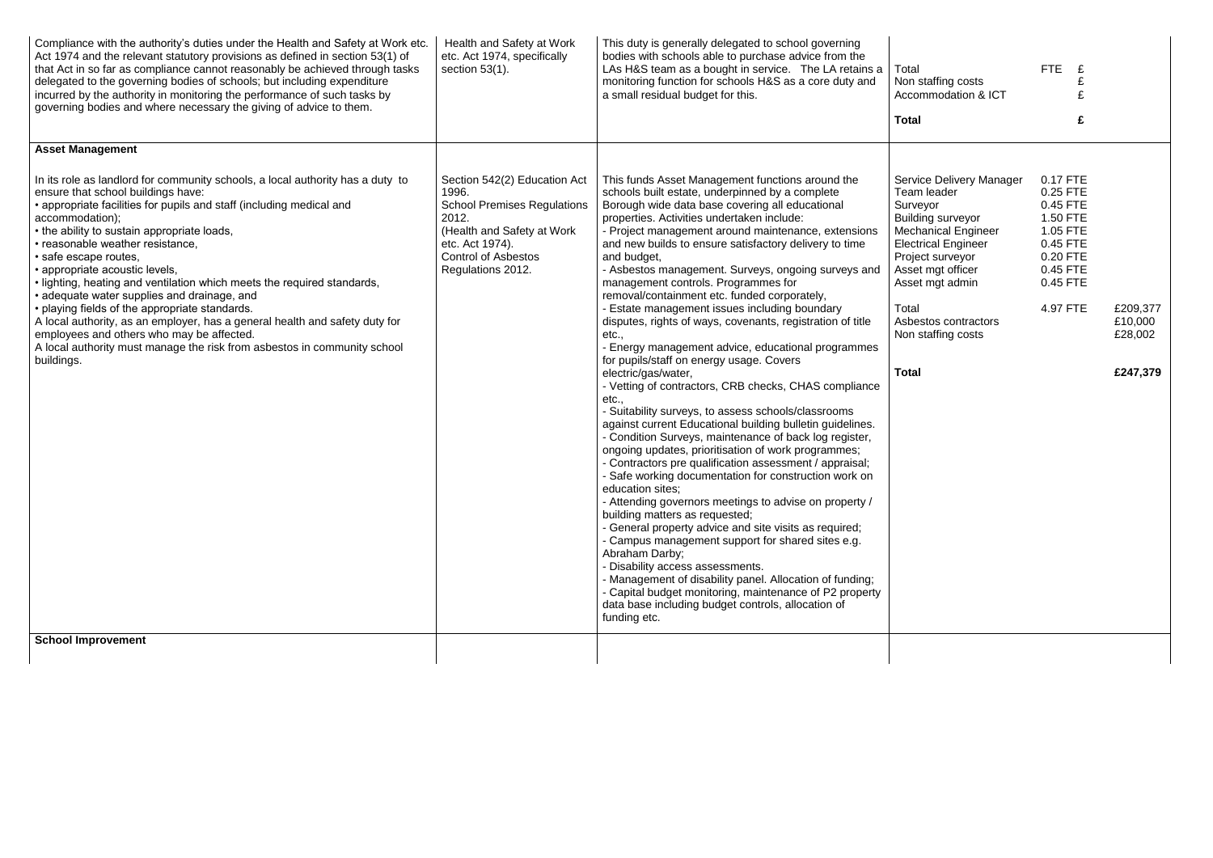| Act 1974 and the relevant statutory provisions as defined in section 53(1) of<br>that Act in so far as compliance cannot reasonably be achieved through tasks<br>delegated to the governing bodies of schools; but including expenditure<br>incurred by the authority in monitoring the performance of such tasks by<br>governing bodies and where necessary the giving of advice to them.                                                                                                                                                                                                                                                                                                                                                                                                 | etc. Act 1974, specifically<br>section $53(1)$ .                                                                                                                                         | This duty is generally delegated to school governing<br>bodies with schools able to purchase advice from the<br>LAs H&S team as a bought in service. The LA retains a<br>monitoring function for schools H&S as a core duty and<br>a small residual budget for this.                                                                                                                                                                                                                                                                                                                                                                                                                                                                                                                                                                                                                                                                                                                                                                                                                                                                                                                                                                                                                                                                                                                                                                                                                                                                                                                                                                     | Total<br>Non staffing costs<br>Accommodation & ICT<br><b>Total</b>                                                                                                                                                                                                             | FTE<br>£                                                                                                             |                                            |
|--------------------------------------------------------------------------------------------------------------------------------------------------------------------------------------------------------------------------------------------------------------------------------------------------------------------------------------------------------------------------------------------------------------------------------------------------------------------------------------------------------------------------------------------------------------------------------------------------------------------------------------------------------------------------------------------------------------------------------------------------------------------------------------------|------------------------------------------------------------------------------------------------------------------------------------------------------------------------------------------|------------------------------------------------------------------------------------------------------------------------------------------------------------------------------------------------------------------------------------------------------------------------------------------------------------------------------------------------------------------------------------------------------------------------------------------------------------------------------------------------------------------------------------------------------------------------------------------------------------------------------------------------------------------------------------------------------------------------------------------------------------------------------------------------------------------------------------------------------------------------------------------------------------------------------------------------------------------------------------------------------------------------------------------------------------------------------------------------------------------------------------------------------------------------------------------------------------------------------------------------------------------------------------------------------------------------------------------------------------------------------------------------------------------------------------------------------------------------------------------------------------------------------------------------------------------------------------------------------------------------------------------|--------------------------------------------------------------------------------------------------------------------------------------------------------------------------------------------------------------------------------------------------------------------------------|----------------------------------------------------------------------------------------------------------------------|--------------------------------------------|
| <b>Asset Management</b><br>In its role as landlord for community schools, a local authority has a duty to<br>ensure that school buildings have:<br>• appropriate facilities for pupils and staff (including medical and<br>accommodation);<br>• the ability to sustain appropriate loads,<br>· reasonable weather resistance,<br>· safe escape routes,<br>· appropriate acoustic levels,<br>. lighting, heating and ventilation which meets the required standards,<br>· adequate water supplies and drainage, and<br>• playing fields of the appropriate standards.<br>A local authority, as an employer, has a general health and safety duty for<br>employees and others who may be affected.<br>A local authority must manage the risk from asbestos in community school<br>buildings. | Section 542(2) Education Act<br>1996.<br><b>School Premises Regulations</b><br>2012.<br>(Health and Safety at Work<br>etc. Act 1974).<br><b>Control of Asbestos</b><br>Regulations 2012. | This funds Asset Management functions around the<br>schools built estate, underpinned by a complete<br>Borough wide data base covering all educational<br>properties. Activities undertaken include:<br>- Project management around maintenance, extensions<br>and new builds to ensure satisfactory delivery to time<br>and budget,<br>- Asbestos management. Surveys, ongoing surveys and<br>management controls. Programmes for<br>removal/containment etc. funded corporately,<br>Estate management issues including boundary<br>disputes, rights of ways, covenants, registration of title<br>etc.,<br>Energy management advice, educational programmes<br>for pupils/staff on energy usage. Covers<br>electric/gas/water,<br>- Vetting of contractors, CRB checks, CHAS compliance<br>etc.,<br>Suitability surveys, to assess schools/classrooms<br>against current Educational building bulletin guidelines.<br>- Condition Surveys, maintenance of back log register,<br>ongoing updates, prioritisation of work programmes;<br>- Contractors pre qualification assessment / appraisal;<br>Safe working documentation for construction work on<br>education sites;<br>- Attending governors meetings to advise on property /<br>building matters as requested;<br>- General property advice and site visits as required;<br>- Campus management support for shared sites e.g.<br>Abraham Darby;<br>- Disability access assessments.<br>- Management of disability panel. Allocation of funding;<br>- Capital budget monitoring, maintenance of P2 property<br>data base including budget controls, allocation of<br>funding etc. | Service Delivery Manager<br>Team leader<br>Surveyor<br><b>Building surveyor</b><br><b>Mechanical Engineer</b><br><b>Electrical Engineer</b><br>Project surveyor<br>Asset mgt officer<br>Asset mgt admin<br>Total<br>Asbestos contractors<br>Non staffing costs<br><b>Total</b> | 0.17 FTE<br>0.25 FTE<br>0.45 FTE<br>1.50 FTE<br>1.05 FTE<br>0.45 FTE<br>0.20 FTE<br>0.45 FTE<br>0.45 FTE<br>4.97 FTE | £209,377<br>£10,000<br>£28,002<br>£247,379 |